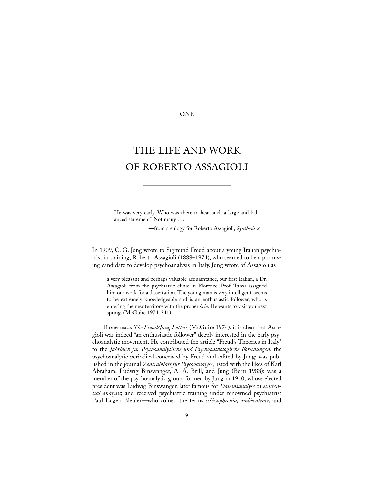#### **ONE**

# THE LIFE AND WORK OF ROBERTO ASSAGIOLI

He was very early. Who was there to hear such a large and balanced statement? Not many . . .

—from a eulogy for Roberto Assagioli, *Synthesis 2*

In 1909, C. G. Jung wrote to Sigmund Freud about a young Italian psychiatrist in training, Roberto Assagioli (1888–1974), who seemed to be a promising candidate to develop psychoanalysis in Italy. Jung wrote of Assagioli as

a very pleasant and perhaps valuable acquaintance, our first Italian, a Dr. Assagioli from the psychiatric clinic in Florence. Prof. Tanzi assigned him our work for a dissertation. The young man is very intelligent, seems to be extremely knowledgeable and is an enthusiastic follower, who is entering the new territory with the proper *brio*. He wants to visit you next spring. (McGuire 1974, 241)

If one reads *The Freud/Jung Letters* (McGuire 1974), it is clear that Assagioli was indeed "an enthusiastic follower" deeply interested in the early psychoanalytic movement. He contributed the article "Freud's Theories in Italy" to the *Jahrbuch für Psychoanalytische und Psychopathologische Forschungen*, the psychoanalytic periodical conceived by Freud and edited by Jung; was published in the journal *Zentralblatt für Psychoanalyse*, listed with the likes of Karl Abraham, Ludwig Binswanger, A. A. Brill, and Jung (Berti 1988); was a member of the psychoanalytic group, formed by Jung in 1910, whose elected president was Ludwig Binswanger, later famous for *Daseinsanalyse* or *existential analysis*; and received psychiatric training under renowned psychiatrist Paul Eugen Bleuler—who coined the terms *schizophrenia, ambivalence,* and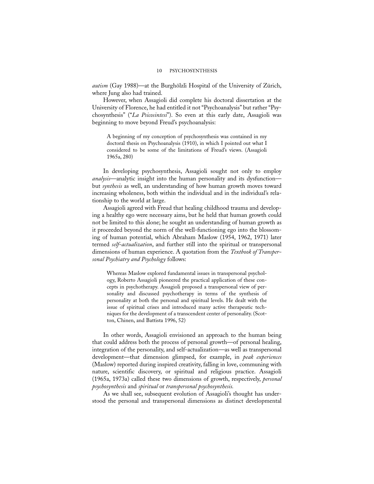*autism* (Gay 1988)—at the Burghölzli Hospital of the University of Zürich, where Jung also had trained.

However, when Assagioli did complete his doctoral dissertation at the University of Florence, he had entitled it not "Psychoanalysis" but rather "Psychosynthesis" ("*La Psicosintesi*"). So even at this early date, Assagioli was beginning to move beyond Freud's psychoanalysis:

A beginning of my conception of psychosynthesis was contained in my doctoral thesis on Psychoanalysis (1910), in which I pointed out what I considered to be some of the limitations of Freud's views. (Assagioli 1965a, 280)

In developing psychosynthesis, Assagioli sought not only to employ *analysis*—analytic insight into the human personality and its dysfunction but *synthesis* as well, an understanding of how human growth moves toward increasing wholeness, both within the individual and in the individual's relationship to the world at large.

Assagioli agreed with Freud that healing childhood trauma and developing a healthy ego were necessary aims, but he held that human growth could not be limited to this alone; he sought an understanding of human growth as it proceeded beyond the norm of the well-functioning ego into the blossoming of human potential, which Abraham Maslow (1954, 1962, 1971) later termed *self-actualization*, and further still into the spiritual or transpersonal dimensions of human experience. A quotation from the *Textbook of Transpersonal Psychiatry and Psychology* follows:

Whereas Maslow explored fundamental issues in transpersonal psychology, Roberto Assagioli pioneered the practical application of these concepts in psychotherapy. Assagioli proposed a transpersonal view of personality and discussed psychotherapy in terms of the synthesis of personality at both the personal and spiritual levels. He dealt with the issue of spiritual crises and introduced many active therapeutic techniques for the development of a transcendent center of personality. (Scotton, Chinen, and Battista 1996, 52)

In other words, Assagioli envisioned an approach to the human being that could address both the process of personal growth—of personal healing, integration of the personality, and self-actualization—as well as transpersonal development—that dimension glimpsed, for example, in *peak experiences* (Maslow) reported during inspired creativity, falling in love, communing with nature, scientific discovery, or spiritual and religious practice. Assagioli (1965a, 1973a) called these two dimensions of growth, respectively, *personal psychosynthesis* and *spiritual* or *transpersonal psychosynthesis.*

As we shall see, subsequent evolution of Assagioli's thought has understood the personal and transpersonal dimensions as distinct developmental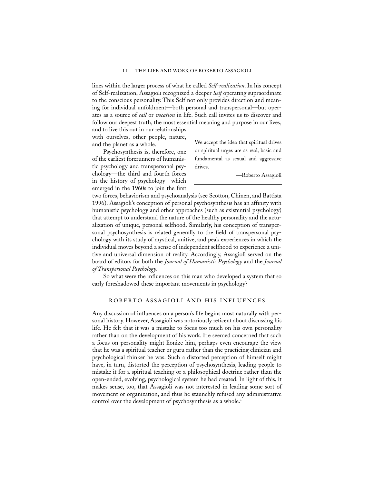lines within the larger process of what he called *Self-realization*. In his concept of Self-realization, Assagioli recognized a deeper *Self* operating supraordinate to the conscious personality. This Self not only provides direction and meaning for individual unfoldment—both personal and transpersonal—but operates as a source of *call* or *vocation* in life. Such call invites us to discover and follow our deepest truth, the most essential meaning and purpose in our lives,

and to live this out in our relationships with ourselves, other people, nature, and the planet as a whole.

Psychosynthesis is, therefore, one of the earliest forerunners of humanistic psychology and transpersonal psychology—the third and fourth forces in the history of psychology—which emerged in the 1960s to join the first We accept the idea that spiritual drives or spiritual urges are as real, basic and fundamental as sexual and aggressive drives.

—Roberto Assagioli

two forces, behaviorism and psychoanalysis (see Scotton, Chinen, and Battista 1996). Assagioli's conception of personal psychosynthesis has an affinity with humanistic psychology and other approaches (such as existential psychology) that attempt to understand the nature of the healthy personality and the actualization of unique, personal selfhood. Similarly, his conception of transpersonal psychosynthesis is related generally to the field of transpersonal psychology with its study of mystical, unitive, and peak experiences in which the individual moves beyond a sense of independent selfhood to experience a unitive and universal dimension of reality. Accordingly, Assagioli served on the board of editors for both the *Journal of Humanistic Psychology* and the *Journal of Transpersonal Psychology*.

So what were the influences on this man who developed a system that so early foreshadowed these important movements in psychology?

#### ROBERTO ASSAGIOLI AND HIS INFLUENCES

Any discussion of influences on a person's life begins most naturally with personal history. However, Assagioli was notoriously reticent about discussing his life. He felt that it was a mistake to focus too much on his own personality rather than on the development of his work. He seemed concerned that such a focus on personality might lionize him, perhaps even encourage the view that he was a spiritual teacher or guru rather than the practicing clinician and psychological thinker he was. Such a distorted perception of himself might have, in turn, distorted the perception of psychosynthesis, leading people to mistake it for a spiritual teaching or a philosophical doctrine rather than the open-ended, evolving, psychological system he had created. In light of this, it makes sense, too, that Assagioli was not interested in leading some sort of movement or organization, and thus he staunchly refused any administrative control over the development of psychosynthesis as a whole.<sup>1</sup>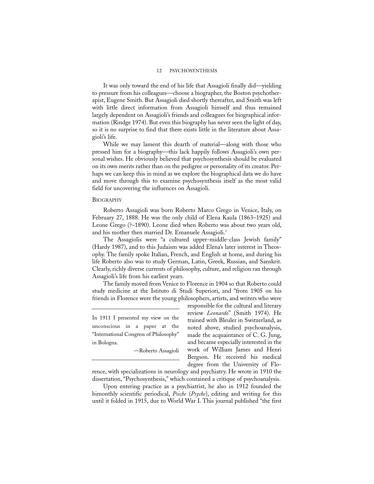It was only toward the end of his life that Assagioli finally did—yielding to pressure from his colleagues—choose a biographer, the Boston psychotherapist, Eugene Smith. But Assagioli died shortly thereafter, and Smith was left with little direct information from Assagioli himself and thus remained largely dependent on Assagioli's friends and colleagues for biographical information (Rindge 1974). But even this biography has never seen the light of day, so it is no surprise to find that there exists little in the literature about Assagioli's life.

While we may lament this dearth of material—along with those who pressed him for a biography—this lack happily follows Assagioli's own personal wishes. He obviously believed that psychosynthesis should be evaluated on its own merits rather than on the pedigree or personality of its creator. Perhaps we can keep this in mind as we explore the biographical data we do have and move through this to examine psychosynthesis itself as the most valid field for uncovering the influences on Assagioli.

#### **BIOGRAPHY**

Roberto Assagioli was born Roberto Marco Grego in Venice, Italy, on February 27, 1888. He was the only child of Elena Kaula (1863–1925) and Leone Grego (?–1890). Leone died when Roberto was about two years old, and his mother then married Dr. Emanuele Assagioli.<sup>2</sup>

The Assagiolis were "a cultured upper-middle-class Jewish family" (Hardy 1987), and to this Judaism was added Elena's later interest in Theosophy. The family spoke Italian, French, and English at home, and during his life Roberto also was to study German, Latin, Greek, Russian, and Sanskrit. Clearly, richly diverse currents of philosophy, culture, and religion ran through Assagioli's life from his earliest years.

The family moved from Venice to Florence in 1904 so that Roberto could study medicine at the Istituto di Studi Superiori, and "from 1905 on his friends in Florence were the young philosophers, artists, and writers who were

In 1911 I presented my view on the unconscious in a paper at the "International Congress of Philosophy" in Bologna.

—Roberto Assagioli

responsible for the cultural and literary review *Leonardo*" (Smith 1974). He trained with Bleuler in Switzerland, as noted above, studied psychoanalysis, made the acquaintance of C. G. Jung, and became especially interested in the work of William James and Henri Bergson. He received his medical degree from the University of Flo-

rence, with specializations in neurology and psychiatry. He wrote in 1910 the dissertation, "Psychosynthesis," which contained a critique of psychoanalysis.

Upon entering practice as a psychiatrist, he also in 1912 founded the bimonthly scientific periodical, *Psiche* (*Psyche*), editing and writing for this until it folded in 1915, due to World War I. This journal published "the first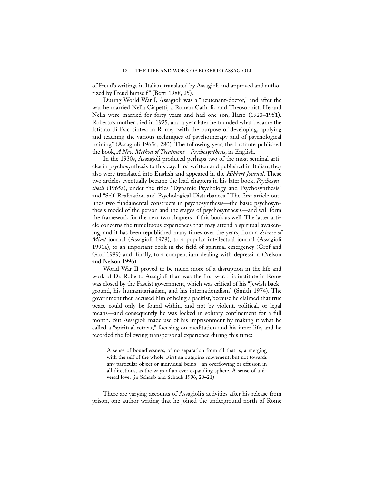of Freud's writings in Italian, translated by Assagioli and approved and authorized by Freud himself" (Berti 1988, 25).

During World War I, Assagioli was a "lieutenant-doctor," and after the war he married Nella Ciapetti, a Roman Catholic and Theosophist. He and Nella were married for forty years and had one son, Ilario (1923–1951). Roberto's mother died in 1925, and a year later he founded what became the Istituto di Psicosintesi in Rome, "with the purpose of developing, applying and teaching the various techniques of psychotherapy and of psychological training" (Assagioli 1965a, 280). The following year, the Institute published the book, *A New Method of Treatment—Psychosynthesis*, in English.

In the 1930s, Assagioli produced perhaps two of the most seminal articles in psychosynthesis to this day. First written and published in Italian, they also were translated into English and appeared in the *Hibbert Journal*. These two articles eventually became the lead chapters in his later book, *Psychosynthesis* (1965a), under the titles "Dynamic Psychology and Psychosynthesis" and "Self-Realization and Psychological Disturbances." The first article outlines two fundamental constructs in psychosynthesis—the basic psychosynthesis model of the person and the stages of psychosynthesis—and will form the framework for the next two chapters of this book as well. The latter article concerns the tumultuous experiences that may attend a spiritual awakening, and it has been republished many times over the years, from a *Science of Mind* journal (Assagioli 1978), to a popular intellectual journal (Assagioli 1991a), to an important book in the field of spiritual emergency (Grof and Grof 1989) and, finally, to a compendium dealing with depression (Nelson and Nelson 1996).

World War II proved to be much more of a disruption in the life and work of Dr. Roberto Assagioli than was the first war. His institute in Rome was closed by the Fascist government, which was critical of his "Jewish background, his humanitarianism, and his internationalism" (Smith 1974). The government then accused him of being a pacifist, because he claimed that true peace could only be found within, and not by violent, political, or legal means—and consequently he was locked in solitary confinement for a full month. But Assagioli made use of his imprisonment by making it what he called a "spiritual retreat," focusing on meditation and his inner life, and he recorded the following transpersonal experience during this time:

A sense of boundlessness, of no separation from all that is, a merging with the self of the whole. First an outgoing movement, but not towards any particular object or individual being—an overflowing or effusion in all directions, as the ways of an ever expanding sphere. A sense of universal love. (in Schaub and Schaub 1996, 20–21)

There are varying accounts of Assagioli's activities after his release from prison, one author writing that he joined the underground north of Rome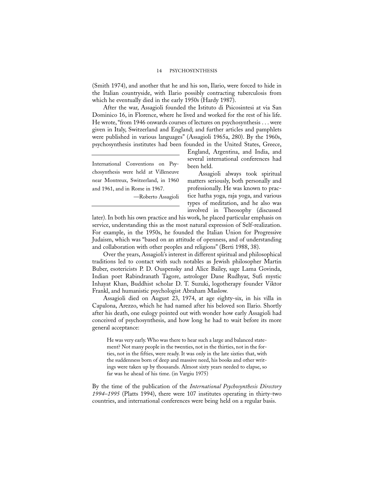(Smith 1974), and another that he and his son, Ilario, were forced to hide in the Italian countryside, with Ilario possibly contracting tuberculosis from which he eventually died in the early 1950s (Hardy 1987).

After the war, Assagioli founded the Istituto di Psicosintesi at via San Dominico 16, in Florence, where he lived and worked for the rest of his life. He wrote, "from 1946 onwards courses of lectures on psychosynthesis . . . were given in Italy, Switzerland and England; and further articles and pamphlets were published in various languages" (Assagioli 1965a, 280). By the 1960s, psychosynthesis institutes had been founded in the United States, Greece,

International Conventions on Psychosynthesis were held at Villeneuve near Montreux, Switzerland, in 1960 and 1961, and in Rome in 1967.

—Roberto Assagioli

England, Argentina, and India, and several international conferences had been held.

Assagioli always took spiritual matters seriously, both personally and professionally. He was known to practice hatha yoga, raja yoga, and various types of meditation, and he also was involved in Theosophy (discussed

later). In both his own practice and his work, he placed particular emphasis on service, understanding this as the most natural expression of Self-realization. For example, in the 1950s, he founded the Italian Union for Progressive Judaism, which was "based on an attitude of openness, and of understanding and collaboration with other peoples and religions" (Berti 1988, 38).

Over the years, Assagioli's interest in different spiritual and philosophical traditions led to contact with such notables as Jewish philosopher Martin Buber, esotericists P. D. Ouspensky and Alice Bailey, sage Lama Govinda, Indian poet Rabindranath Tagore, astrologer Dane Rudhyar, Sufi mystic Inhayat Khan, Buddhist scholar D. T. Suzuki, logotherapy founder Viktor Frankl, and humanistic psychologist Abraham Maslow.

Assagioli died on August 23, 1974, at age eighty-six, in his villa in Capalona, Arezzo, which he had named after his beloved son Ilario. Shortly after his death, one eulogy pointed out with wonder how early Assagioli had conceived of psychosynthesis, and how long he had to wait before its more general acceptance:

He was very early. Who was there to hear such a large and balanced statement? Not many people in the twenties, not in the thirties, not in the forties, not in the fifties, were ready. It was only in the late sixties that, with the suddenness born of deep and massive need, his books and other writings were taken up by thousands. Almost sixty years needed to elapse, so far was he ahead of his time. (in Vargiu 1975)

By the time of the publication of the *International Psychosynthesis Directory 1994–1995* (Platts 1994), there were 107 institutes operating in thirty-two countries, and international conferences were being held on a regular basis.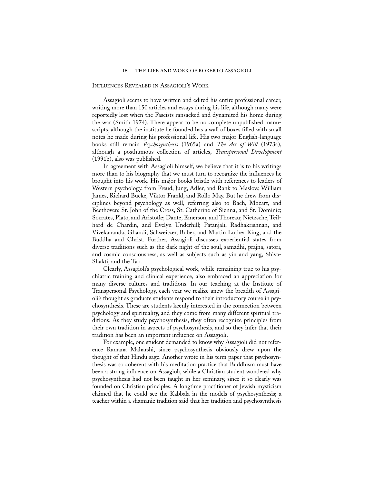## INFLUENCES REVEALED IN ASSAGIOLI'S WORK

Assagioli seems to have written and edited his entire professional career, writing more than 150 articles and essays during his life, although many were reportedly lost when the Fascists ransacked and dynamited his home during the war (Smith 1974). There appear to be no complete unpublished manuscripts, although the institute he founded has a wall of boxes filled with small notes he made during his professional life. His two major English-language books still remain *Psychosynthesis* (1965a) and *The Act of Will* (1973a), although a posthumous collection of articles, *Transpersonal Development* (1991b), also was published.

In agreement with Assagioli himself, we believe that it is to his writings more than to his biography that we must turn to recognize the influences he brought into his work. His major books bristle with references to leaders of Western psychology, from Freud, Jung, Adler, and Rank to Maslow, William James, Richard Bucke, Viktor Frankl, and Rollo May. But he drew from disciplines beyond psychology as well, referring also to Bach, Mozart, and Beethoven; St. John of the Cross, St. Catherine of Sienna, and St. Dominic; Socrates, Plato, and Aristotle; Dante, Emerson, and Thoreau; Nietzsche, Teilhard de Chardin, and Evelyn Underhill; Patanjali, Radhakrishnan, and Vivekananda; Ghandi, Schweitzer, Buber, and Martin Luther King; and the Buddha and Christ. Further, Assagioli discusses experiential states from diverse traditions such as the dark night of the soul, samadhi, prajna, satori, and cosmic consciousness, as well as subjects such as yin and yang, Shiva-Shakti, and the Tao.

Clearly, Assagioli's psychological work, while remaining true to his psychiatric training and clinical experience, also embraced an appreciation for many diverse cultures and traditions. In our teaching at the Institute of Transpersonal Psychology, each year we realize anew the breadth of Assagioli's thought as graduate students respond to their introductory course in psychosynthesis. These are students keenly interested in the connection between psychology and spirituality, and they come from many different spiritual traditions. As they study psychosynthesis, they often recognize principles from their own tradition in aspects of psychosynthesis, and so they infer that their tradition has been an important influence on Assagioli.

For example, one student demanded to know why Assagioli did not reference Ramana Maharshi, since psychosynthesis obviously drew upon the thought of that Hindu sage. Another wrote in his term paper that psychosynthesis was so coherent with his meditation practice that Buddhism must have been a strong influence on Assagioli, while a Christian student wondered why psychosynthesis had not been taught in her seminary, since it so clearly was founded on Christian principles. A longtime practitioner of Jewish mysticism claimed that he could see the Kabbala in the models of psychosynthesis; a teacher within a shamanic tradition said that her tradition and psychosynthesis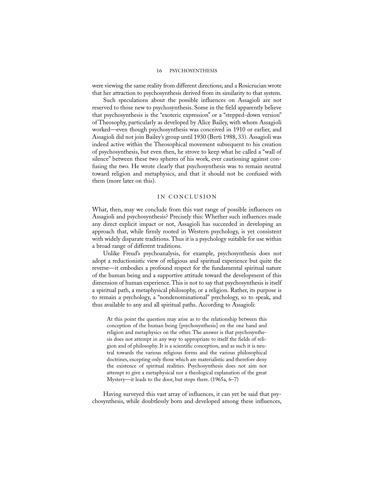were viewing the same reality from different directions; and a Rosicrucian wrote that her attraction to psychosynthesis derived from its similarity to that system.

Such speculations about the possible influences on Assagioli are not reserved to those new to psychosynthesis. Some in the field apparently believe that psychosynthesis is the "exoteric expression" or a "stepped-down version" of Theosophy, particularly as developed by Alice Bailey, with whom Assagioli worked—even though psychosynthesis was conceived in 1910 or earlier, and Assagioli did not join Bailey's group until 1930 (Berti 1988, 33). Assagioli was indeed active within the Theosophical movement subsequent to his creation of psychosynthesis, but even then, he strove to keep what he called a "wall of silence" between these two spheres of his work, ever cautioning against confusing the two. He wrote clearly that psychosynthesis was to remain neutral toward religion and metaphysics, and that it should not be confused with them (more later on this).

### IN CONCLUSION

What, then, may we conclude from this vast range of possible influences on Assagioli and psychosynthesis? Precisely this: Whether such influences made any direct explicit impact or not, Assagioli has succeeded in developing an approach that, while firmly rooted in Western psychology, is yet consistent with widely disparate traditions. Thus it is a psychology suitable for use within a broad range of different traditions.

Unlike Freud's psychoanalysis, for example, psychosynthesis does not adopt a reductionistic view of religious and spiritual experience but quite the reverse—it embodies a profound respect for the fundamental spiritual nature of the human being and a supportive attitude toward the development of this dimension of human experience. This is not to say that psychosynthesis is itself a spiritual path, a metaphysical philosophy, or a religion. Rather, its purpose is to remain a psychology, a "nondenominational" psychology, so to speak, and thus available to any and all spiritual paths. According to Assagioli:

At this point the question may arise as to the relationship between this conception of the human being [psychosynthesis] on the one hand and religion and metaphysics on the other. The answer is that psychosynthesis does not attempt in any way to appropriate to itself the fields of religion and of philosophy. It is a scientific conception, and as such it is neutral towards the various religious forms and the various philosophical doctrines, excepting only those which are materialistic and therefore deny the existence of spiritual realities. Psychosynthesis does not aim nor attempt to give a metaphysical nor a theological explanation of the great Mystery—it leads to the door, but stops there. (1965a, 6–7)

Having surveyed this vast array of influences, it can yet be said that psychosynthesis, while doubtlessly born and developed among these influences,